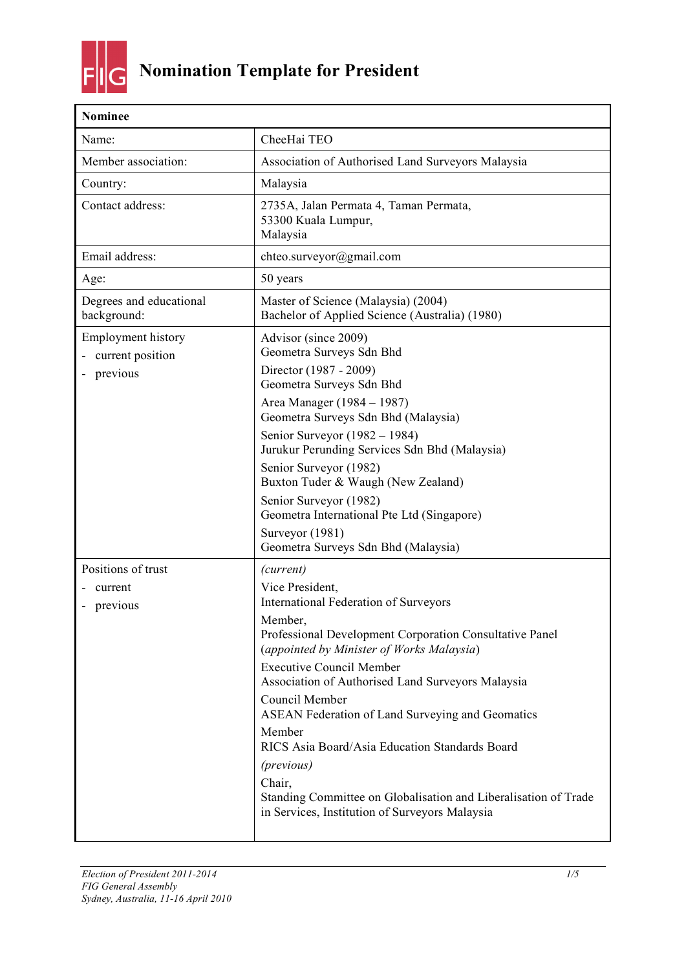

| <b>Nominee</b>                                            |                                                                                                                                                                                                                                                                                                                                                                                                                                                                                                                                                                        |
|-----------------------------------------------------------|------------------------------------------------------------------------------------------------------------------------------------------------------------------------------------------------------------------------------------------------------------------------------------------------------------------------------------------------------------------------------------------------------------------------------------------------------------------------------------------------------------------------------------------------------------------------|
| Name:                                                     | CheeHai TEO                                                                                                                                                                                                                                                                                                                                                                                                                                                                                                                                                            |
| Member association:                                       | Association of Authorised Land Surveyors Malaysia                                                                                                                                                                                                                                                                                                                                                                                                                                                                                                                      |
| Country:                                                  | Malaysia                                                                                                                                                                                                                                                                                                                                                                                                                                                                                                                                                               |
| Contact address:                                          | 2735A, Jalan Permata 4, Taman Permata,<br>53300 Kuala Lumpur,<br>Malaysia                                                                                                                                                                                                                                                                                                                                                                                                                                                                                              |
| Email address:                                            | chteo.surveyor@gmail.com                                                                                                                                                                                                                                                                                                                                                                                                                                                                                                                                               |
| Age:                                                      | 50 years                                                                                                                                                                                                                                                                                                                                                                                                                                                                                                                                                               |
| Degrees and educational<br>background:                    | Master of Science (Malaysia) (2004)<br>Bachelor of Applied Science (Australia) (1980)                                                                                                                                                                                                                                                                                                                                                                                                                                                                                  |
| <b>Employment history</b><br>current position<br>previous | Advisor (since 2009)<br>Geometra Surveys Sdn Bhd<br>Director (1987 - 2009)<br>Geometra Surveys Sdn Bhd<br>Area Manager (1984 – 1987)<br>Geometra Surveys Sdn Bhd (Malaysia)<br>Senior Surveyor (1982 – 1984)<br>Jurukur Perunding Services Sdn Bhd (Malaysia)<br>Senior Surveyor (1982)<br>Buxton Tuder & Waugh (New Zealand)<br>Senior Surveyor (1982)<br>Geometra International Pte Ltd (Singapore)<br>Surveyor (1981)<br>Geometra Surveys Sdn Bhd (Malaysia)                                                                                                        |
| Positions of trust<br>current<br>previous                 | (current)<br>Vice President,<br>International Federation of Surveyors<br>Member.<br>Professional Development Corporation Consultative Panel<br>(appointed by Minister of Works Malaysia)<br><b>Executive Council Member</b><br>Association of Authorised Land Surveyors Malaysia<br>Council Member<br><b>ASEAN Federation of Land Surveying and Geomatics</b><br>Member<br>RICS Asia Board/Asia Education Standards Board<br>(previous)<br>Chair,<br>Standing Committee on Globalisation and Liberalisation of Trade<br>in Services, Institution of Surveyors Malaysia |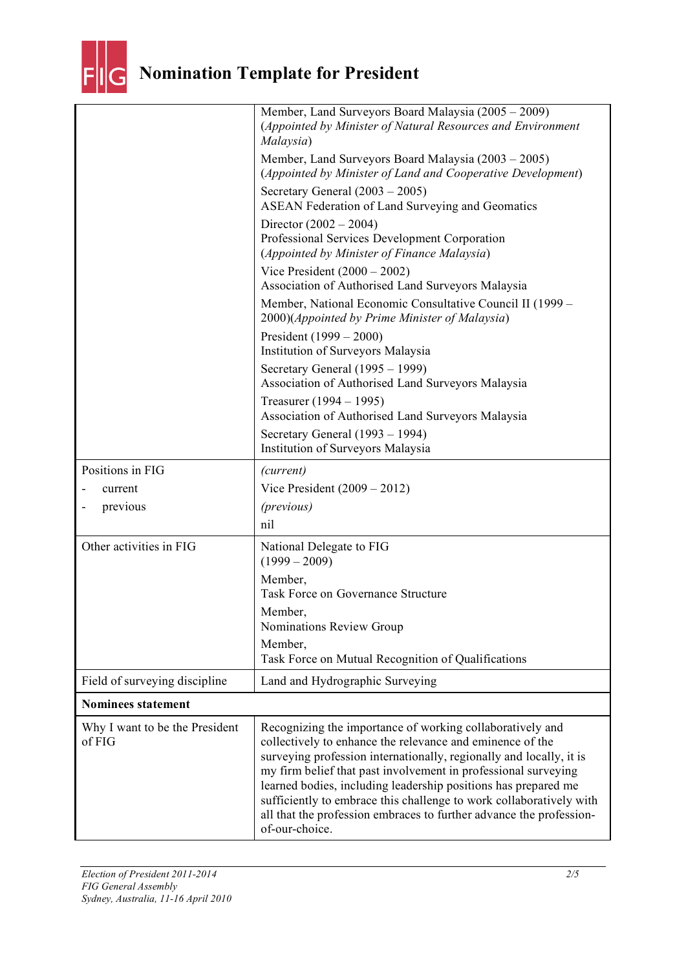

| Why I want to be the President<br>of FIG | Recognizing the importance of working collaboratively and<br>collectively to enhance the relevance and eminence of the<br>surveying profession internationally, regionally and locally, it is<br>my firm belief that past involvement in professional surveying<br>learned bodies, including leadership positions has prepared me<br>sufficiently to embrace this challenge to work collaboratively with<br>all that the profession embraces to further advance the profession-<br>of-our-choice. |
|------------------------------------------|---------------------------------------------------------------------------------------------------------------------------------------------------------------------------------------------------------------------------------------------------------------------------------------------------------------------------------------------------------------------------------------------------------------------------------------------------------------------------------------------------|
| <b>Nominees statement</b>                |                                                                                                                                                                                                                                                                                                                                                                                                                                                                                                   |
| Field of surveying discipline            | Land and Hydrographic Surveying                                                                                                                                                                                                                                                                                                                                                                                                                                                                   |
|                                          | Member,<br>Task Force on Mutual Recognition of Qualifications                                                                                                                                                                                                                                                                                                                                                                                                                                     |
|                                          | Member,<br>Task Force on Governance Structure<br>Member,<br>Nominations Review Group                                                                                                                                                                                                                                                                                                                                                                                                              |
| Other activities in FIG                  | National Delegate to FIG<br>$(1999 - 2009)$                                                                                                                                                                                                                                                                                                                                                                                                                                                       |
| previous                                 | (previous)<br>nil                                                                                                                                                                                                                                                                                                                                                                                                                                                                                 |
| Positions in FIG<br>current              | (current)<br>Vice President $(2009 – 2012)$                                                                                                                                                                                                                                                                                                                                                                                                                                                       |
|                                          | Secretary General (1993 - 1994)<br>Institution of Surveyors Malaysia                                                                                                                                                                                                                                                                                                                                                                                                                              |
|                                          | Treasurer (1994 – 1995)<br>Association of Authorised Land Surveyors Malaysia                                                                                                                                                                                                                                                                                                                                                                                                                      |
|                                          | Secretary General (1995 – 1999)<br>Association of Authorised Land Surveyors Malaysia                                                                                                                                                                                                                                                                                                                                                                                                              |
|                                          | President $(1999 - 2000)$<br>Institution of Surveyors Malaysia                                                                                                                                                                                                                                                                                                                                                                                                                                    |
|                                          | Member, National Economic Consultative Council II (1999 –<br>2000)(Appointed by Prime Minister of Malaysia)                                                                                                                                                                                                                                                                                                                                                                                       |
|                                          | Professional Services Development Corporation<br>(Appointed by Minister of Finance Malaysia)<br>Vice President $(2000 - 2002)$<br>Association of Authorised Land Surveyors Malaysia                                                                                                                                                                                                                                                                                                               |
|                                          | Secretary General $(2003 – 2005)$<br><b>ASEAN Federation of Land Surveying and Geomatics</b><br>Director $(2002 - 2004)$                                                                                                                                                                                                                                                                                                                                                                          |
|                                          | Member, Land Surveyors Board Malaysia (2003 – 2005)<br>(Appointed by Minister of Land and Cooperative Development)                                                                                                                                                                                                                                                                                                                                                                                |
|                                          | Member, Land Surveyors Board Malaysia (2005 – 2009)<br>(Appointed by Minister of Natural Resources and Environment<br>Malaysia)                                                                                                                                                                                                                                                                                                                                                                   |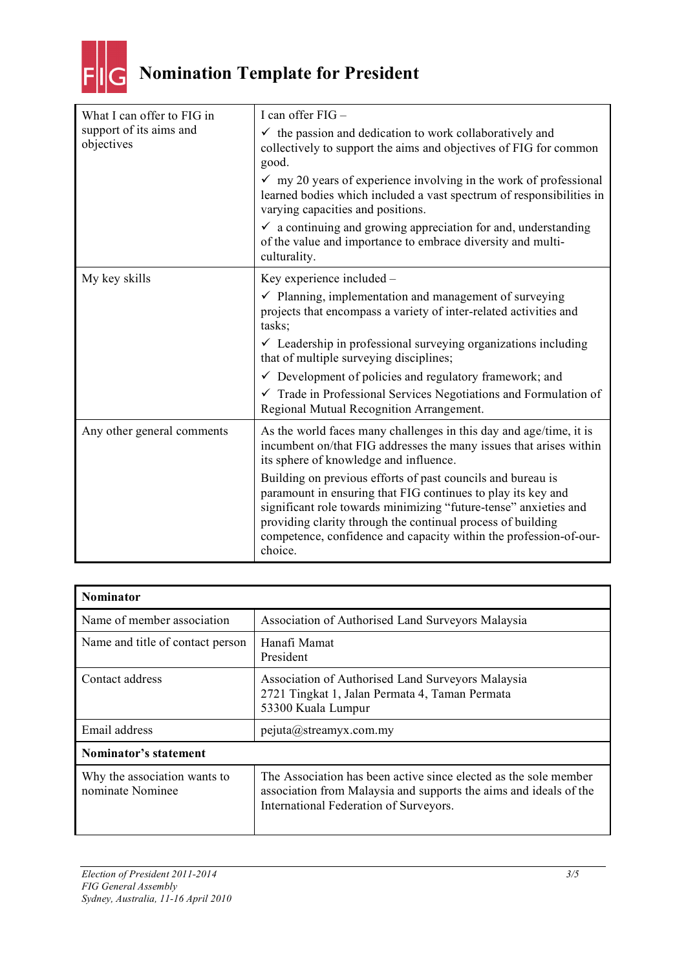

## **Nomination Template for President**

| What I can offer to FIG in<br>support of its aims and<br>objectives | I can offer FIG -                                                                                                                                                                                                                                                                                                                              |
|---------------------------------------------------------------------|------------------------------------------------------------------------------------------------------------------------------------------------------------------------------------------------------------------------------------------------------------------------------------------------------------------------------------------------|
|                                                                     | $\checkmark$ the passion and dedication to work collaboratively and<br>collectively to support the aims and objectives of FIG for common<br>good.                                                                                                                                                                                              |
|                                                                     | $\checkmark$ my 20 years of experience involving in the work of professional<br>learned bodies which included a vast spectrum of responsibilities in<br>varying capacities and positions.                                                                                                                                                      |
|                                                                     | $\checkmark$ a continuing and growing appreciation for and, understanding<br>of the value and importance to embrace diversity and multi-<br>culturality.                                                                                                                                                                                       |
| My key skills                                                       | Key experience included -                                                                                                                                                                                                                                                                                                                      |
|                                                                     | $\checkmark$ Planning, implementation and management of surveying<br>projects that encompass a variety of inter-related activities and<br>tasks;                                                                                                                                                                                               |
|                                                                     | $\checkmark$ Leadership in professional surveying organizations including<br>that of multiple surveying disciplines;                                                                                                                                                                                                                           |
|                                                                     | $\checkmark$ Development of policies and regulatory framework; and                                                                                                                                                                                                                                                                             |
|                                                                     | $\checkmark$ Trade in Professional Services Negotiations and Formulation of<br>Regional Mutual Recognition Arrangement.                                                                                                                                                                                                                        |
| Any other general comments                                          | As the world faces many challenges in this day and age/time, it is<br>incumbent on/that FIG addresses the many issues that arises within<br>its sphere of knowledge and influence.                                                                                                                                                             |
|                                                                     | Building on previous efforts of past councils and bureau is<br>paramount in ensuring that FIG continues to play its key and<br>significant role towards minimizing "future-tense" anxieties and<br>providing clarity through the continual process of building<br>competence, confidence and capacity within the profession-of-our-<br>choice. |

| <b>Nominator</b>                                 |                                                                                                                                                                                 |  |
|--------------------------------------------------|---------------------------------------------------------------------------------------------------------------------------------------------------------------------------------|--|
| Name of member association                       | Association of Authorised Land Surveyors Malaysia                                                                                                                               |  |
| Name and title of contact person                 | Hanafi Mamat<br>President                                                                                                                                                       |  |
| Contact address                                  | Association of Authorised Land Surveyors Malaysia<br>2721 Tingkat 1, Jalan Permata 4, Taman Permata<br>53300 Kuala Lumpur                                                       |  |
| Email address                                    | pejuta@streamyx.com(my                                                                                                                                                          |  |
| Nominator's statement                            |                                                                                                                                                                                 |  |
| Why the association wants to<br>nominate Nominee | The Association has been active since elected as the sole member<br>association from Malaysia and supports the aims and ideals of the<br>International Federation of Surveyors. |  |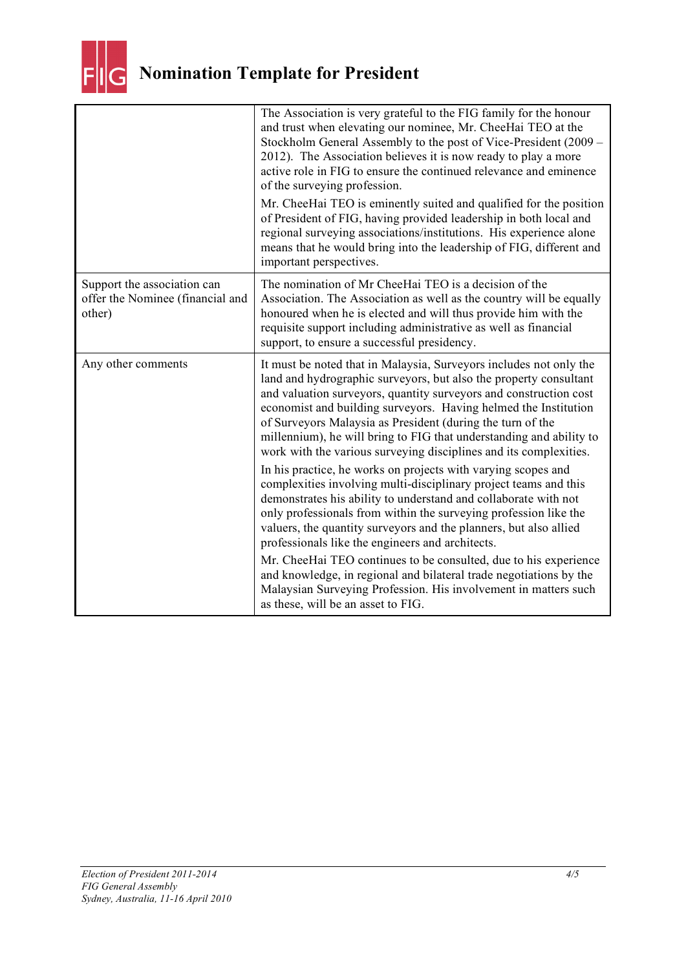

|                                                                           | The Association is very grateful to the FIG family for the honour<br>and trust when elevating our nominee, Mr. CheeHai TEO at the<br>Stockholm General Assembly to the post of Vice-President (2009 –<br>2012). The Association believes it is now ready to play a more<br>active role in FIG to ensure the continued relevance and eminence<br>of the surveying profession.                                                                                                              |
|---------------------------------------------------------------------------|-------------------------------------------------------------------------------------------------------------------------------------------------------------------------------------------------------------------------------------------------------------------------------------------------------------------------------------------------------------------------------------------------------------------------------------------------------------------------------------------|
|                                                                           | Mr. CheeHai TEO is eminently suited and qualified for the position<br>of President of FIG, having provided leadership in both local and<br>regional surveying associations/institutions. His experience alone<br>means that he would bring into the leadership of FIG, different and<br>important perspectives.                                                                                                                                                                           |
| Support the association can<br>offer the Nominee (financial and<br>other) | The nomination of Mr CheeHai TEO is a decision of the<br>Association. The Association as well as the country will be equally<br>honoured when he is elected and will thus provide him with the<br>requisite support including administrative as well as financial<br>support, to ensure a successful presidency.                                                                                                                                                                          |
| Any other comments                                                        | It must be noted that in Malaysia, Surveyors includes not only the<br>land and hydrographic surveyors, but also the property consultant<br>and valuation surveyors, quantity surveyors and construction cost<br>economist and building surveyors. Having helmed the Institution<br>of Surveyors Malaysia as President (during the turn of the<br>millennium), he will bring to FIG that understanding and ability to<br>work with the various surveying disciplines and its complexities. |
|                                                                           | In his practice, he works on projects with varying scopes and<br>complexities involving multi-disciplinary project teams and this<br>demonstrates his ability to understand and collaborate with not<br>only professionals from within the surveying profession like the<br>valuers, the quantity surveyors and the planners, but also allied<br>professionals like the engineers and architects.                                                                                         |
|                                                                           | Mr. CheeHai TEO continues to be consulted, due to his experience<br>and knowledge, in regional and bilateral trade negotiations by the<br>Malaysian Surveying Profession. His involvement in matters such<br>as these, will be an asset to FIG.                                                                                                                                                                                                                                           |